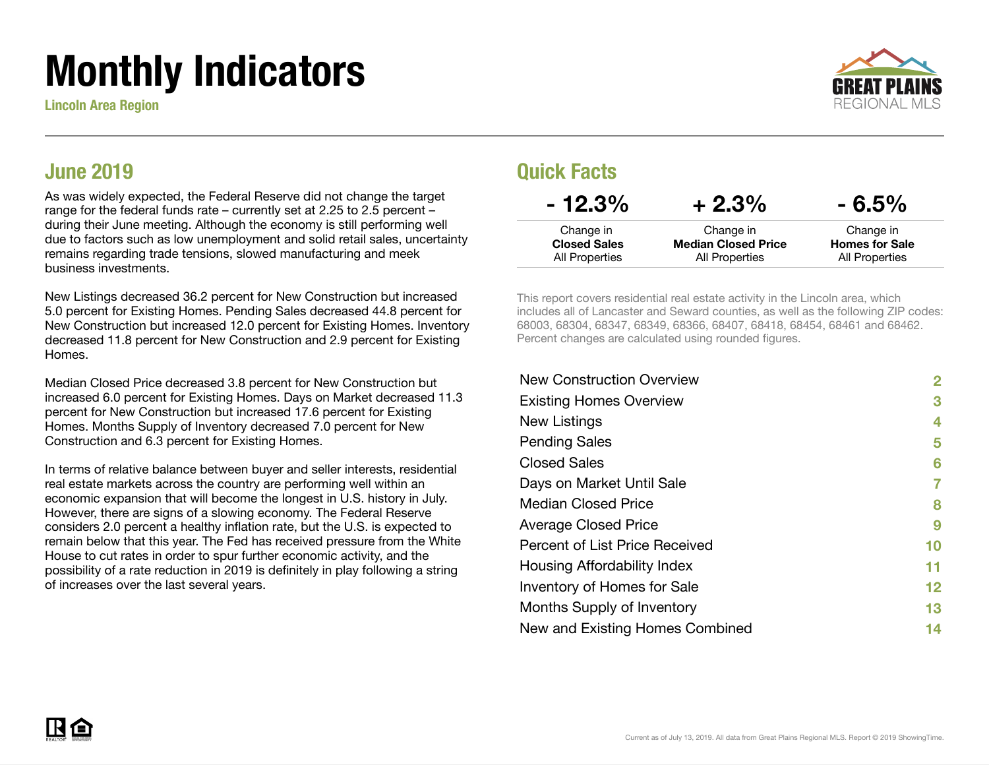# Monthly Indicators

Lincoln Area Region



#### June 2019

As was widely expected, the Federal Reserve did not change the target range for the federal funds rate – currently set at 2.25 to 2.5 percent – during their June meeting. Although the economy is still performing well due to factors such as low unemployment and solid retail sales, uncertainty remains regarding trade tensions, slowed manufacturing and meek business investments.

New Listings decreased 36.2 percent for New Construction but increased 5.0 percent for Existing Homes. Pending Sales decreased 44.8 percent for New Construction but increased 12.0 percent for Existing Homes. Inventory decreased 11.8 percent for New Construction and 2.9 percent for Existing Homes.

Median Closed Price decreased 3.8 percent for New Construction but increased 6.0 percent for Existing Homes. Days on Market decreased 11.3 percent for New Construction but increased 17.6 percent for Existing Homes. Months Supply of Inventory decreased 7.0 percent for New Construction and 6.3 percent for Existing Homes.

In terms of relative balance between buyer and seller interests, residential real estate markets across the country are performing well within an economic expansion that will become the longest in U.S. history in July. However, there are signs of a slowing economy. The Federal Reserve considers 2.0 percent a healthy inflation rate, but the U.S. is expected to remain below that this year. The Fed has received pressure from the White House to cut rates in order to spur further economic activity, and the possibility of a rate reduction in 2019 is definitely in play following a string of increases over the last several years.

#### Quick Facts

| $-12.3%$                              | $+2.3%$                                             | $-6.5%$                                 |
|---------------------------------------|-----------------------------------------------------|-----------------------------------------|
| Change in                             | Change in                                           | Change in                               |
| <b>Closed Sales</b><br>All Properties | <b>Median Closed Price</b><br><b>All Properties</b> | <b>Homes for Sale</b><br>All Properties |

This report covers residential real estate activity in the Lincoln area, which includes all of Lancaster and Seward counties, as well as the following ZIP codes: 68003, 68304, 68347, 68349, 68366, 68407, 68418, 68454, 68461 and 68462. Percent changes are calculated using rounded figures.

| <b>New Construction Overview</b> | 2       |
|----------------------------------|---------|
| <b>Existing Homes Overview</b>   | 3       |
| New Listings                     | 4       |
| <b>Pending Sales</b>             | 5       |
| <b>Closed Sales</b>              | 6       |
| Days on Market Until Sale        | 7       |
| <b>Median Closed Price</b>       | 8       |
| <b>Average Closed Price</b>      | 9       |
| Percent of List Price Received   | 10      |
| Housing Affordability Index      | 11      |
| Inventory of Homes for Sale      | $12 \,$ |
| Months Supply of Inventory       | 13      |
| New and Existing Homes Combined  | 14      |
|                                  |         |

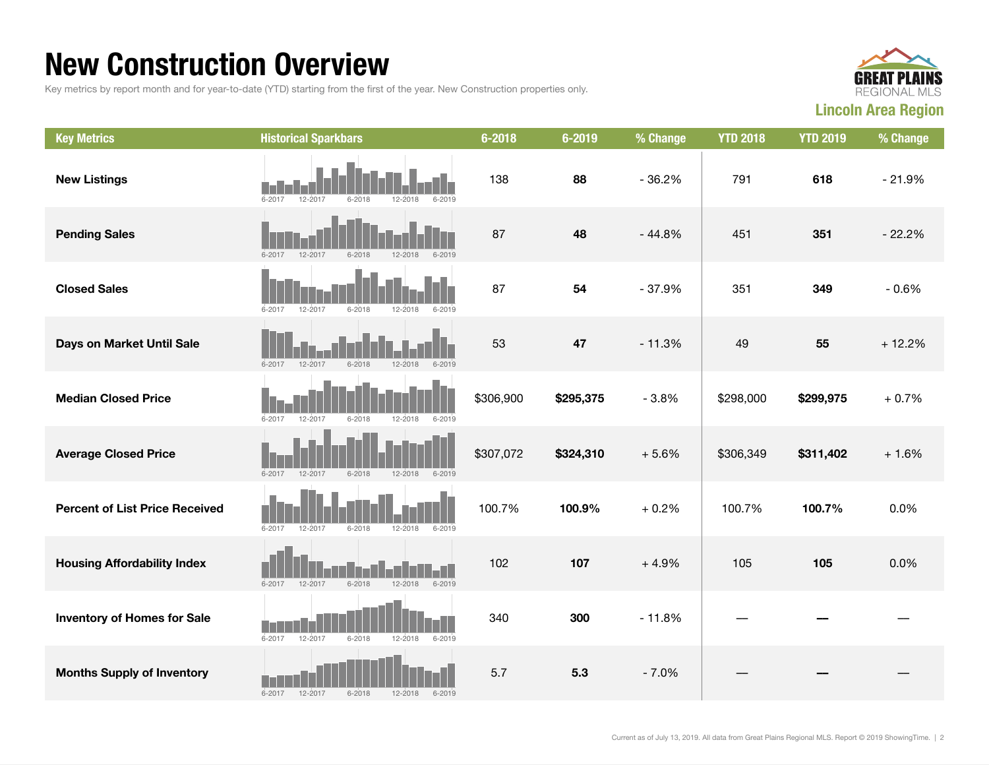#### New Construction Overview

Key metrics by report month and for year-to-date (YTD) starting from the first of the year. New Construction properties only.



| <b>Key Metrics</b>                    | <b>Historical Sparkbars</b>                                      | $6 - 2018$ | 6-2019    | % Change | <b>YTD 2018</b> | <b>YTD 2019</b> | % Change |
|---------------------------------------|------------------------------------------------------------------|------------|-----------|----------|-----------------|-----------------|----------|
| <b>New Listings</b>                   | 12-2017<br>12-2018<br>6-2017<br>6-2018<br>6-2019                 | 138        | 88        | $-36.2%$ | 791             | 618             | $-21.9%$ |
| <b>Pending Sales</b>                  | $6 - 2017$<br>12-2017<br>$12 - 2018$<br>$6 - 2018$<br>$6 - 2019$ | 87         | 48        | $-44.8%$ | 451             | 351             | $-22.2%$ |
| <b>Closed Sales</b>                   | $6 - 2017$<br>12-2017<br>$6 - 2018$<br>12-2018<br>$6 - 2019$     | 87         | 54        | $-37.9%$ | 351             | 349             | $-0.6%$  |
| Days on Market Until Sale             | $6 - 2017$<br>12-2017<br>$6 - 2018$<br>12-2018<br>$6 - 2019$     | 53         | 47        | $-11.3%$ | 49              | 55              | $+12.2%$ |
| <b>Median Closed Price</b>            | $6 - 2017$<br>$12 - 2018$<br>$6 - 2019$<br>12-2017<br>$6 - 2018$ | \$306,900  | \$295,375 | $-3.8%$  | \$298,000       | \$299,975       | $+0.7%$  |
| <b>Average Closed Price</b>           | $6 - 2017$<br>$12 - 2017$<br>$6 - 2018$<br>12-2018<br>6-2019     | \$307,072  | \$324,310 | $+5.6%$  | \$306,349       | \$311,402       | $+1.6%$  |
| <b>Percent of List Price Received</b> | $6 - 2017$<br>12-2017<br>$6 - 2018$<br>12-2018<br>$6 - 2019$     | 100.7%     | 100.9%    | $+0.2%$  | 100.7%          | 100.7%          | 0.0%     |
| <b>Housing Affordability Index</b>    | $6 - 2018$<br>12-2018<br>$6 - 2017$<br>12-2017<br>$6 - 2019$     | 102        | 107       | $+4.9%$  | 105             | 105             | 0.0%     |
| <b>Inventory of Homes for Sale</b>    | $6 - 2017$<br>$6 - 2018$<br>$12 - 2018$<br>12-2017<br>$6 - 2019$ | 340        | 300       | $-11.8%$ |                 |                 |          |
| <b>Months Supply of Inventory</b>     | $6 - 2017$<br>12-2017<br>$6 - 2018$<br>$12 - 2018$<br>$6 - 2019$ | 5.7        | 5.3       | $-7.0%$  |                 |                 |          |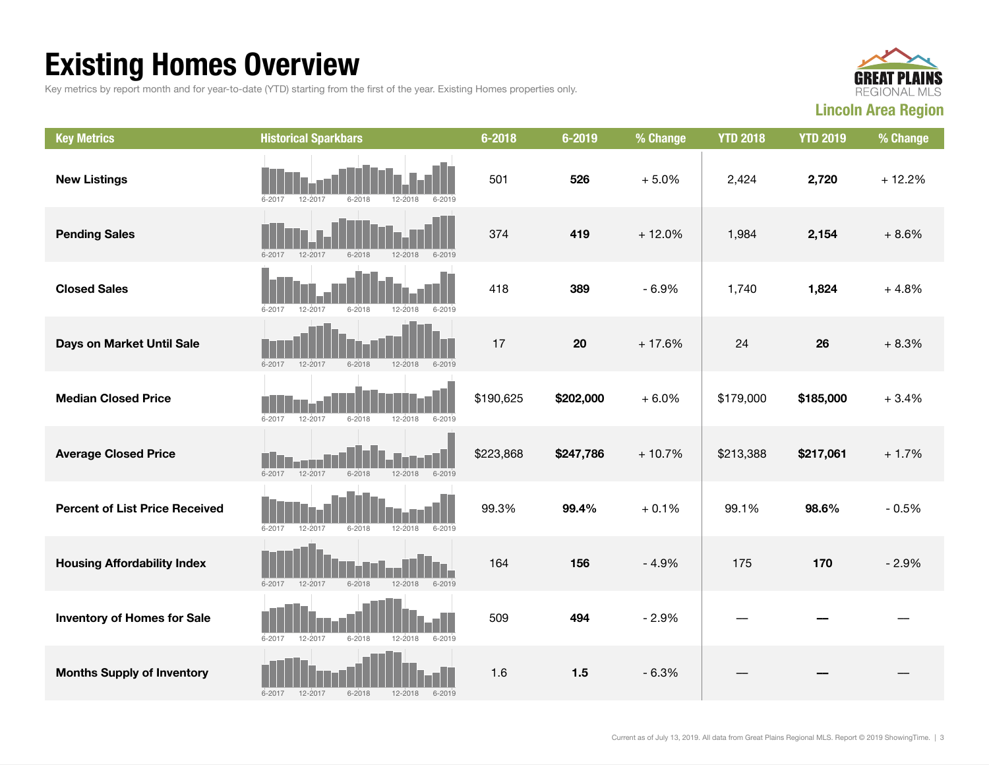## Existing Homes Overview

Key metrics by report month and for year-to-date (YTD) starting from the first of the year. Existing Homes properties only.



| <b>Key Metrics</b>                    | <b>Historical Sparkbars</b>                                      | 6-2018    | 6-2019    | % Change | <b>YTD 2018</b> | <b>YTD 2019</b> | % Change |
|---------------------------------------|------------------------------------------------------------------|-----------|-----------|----------|-----------------|-----------------|----------|
| <b>New Listings</b>                   | 12-2017<br>$6 - 2018$<br>$6 - 2017$<br>12-2018<br>$6 - 2019$     | 501       | 526       | $+5.0%$  | 2,424           | 2,720           | $+12.2%$ |
| <b>Pending Sales</b>                  | $6 - 2019$<br>6-2017<br>12-2017<br>$6 - 2018$<br>$12 - 2018$     | 374       | 419       | $+12.0%$ | 1,984           | 2,154           | $+8.6%$  |
| <b>Closed Sales</b>                   | 12-2017<br>$6 - 2018$<br>$6 - 2019$<br>$6 - 2017$<br>$12 - 2018$ | 418       | 389       | $-6.9%$  | 1,740           | 1,824           | $+4.8%$  |
| Days on Market Until Sale             | $6 - 2017$<br>12-2017<br>$6 - 2018$<br>$12 - 2018$<br>$6 - 2019$ | 17        | 20        | $+17.6%$ | 24              | 26              | $+8.3%$  |
| <b>Median Closed Price</b>            | $6 - 2017$<br>12-2017<br>$6 - 2018$<br>$12 - 2018$<br>$6 - 2019$ | \$190,625 | \$202,000 | $+6.0%$  | \$179,000       | \$185,000       | $+3.4%$  |
| <b>Average Closed Price</b>           | $6 - 2018$<br>$6 - 2019$<br>$6 - 2017$<br>12-2017<br>12-2018     | \$223,868 | \$247,786 | $+10.7%$ | \$213,388       | \$217,061       | $+1.7%$  |
| <b>Percent of List Price Received</b> | $6 - 2019$<br>$6 - 2017$<br>12-2017<br>$6 - 2018$<br>$12 - 2018$ | 99.3%     | 99.4%     | $+0.1%$  | 99.1%           | 98.6%           | $-0.5%$  |
| <b>Housing Affordability Index</b>    | $6 - 2017$<br>12-2017<br>$6 - 2018$<br>12-2018<br>$6 - 2019$     | 164       | 156       | $-4.9%$  | 175             | 170             | $-2.9%$  |
| <b>Inventory of Homes for Sale</b>    | $6 - 2017$<br>12-2017<br>$6 - 2018$<br>$6 - 2019$<br>12-2018     | 509       | 494       | $-2.9%$  |                 |                 |          |
| <b>Months Supply of Inventory</b>     | 12-2017<br>$6 - 2018$<br>12-2018<br>$6 - 2017$<br>$6 - 2019$     | 1.6       | $1.5$     | $-6.3%$  |                 |                 |          |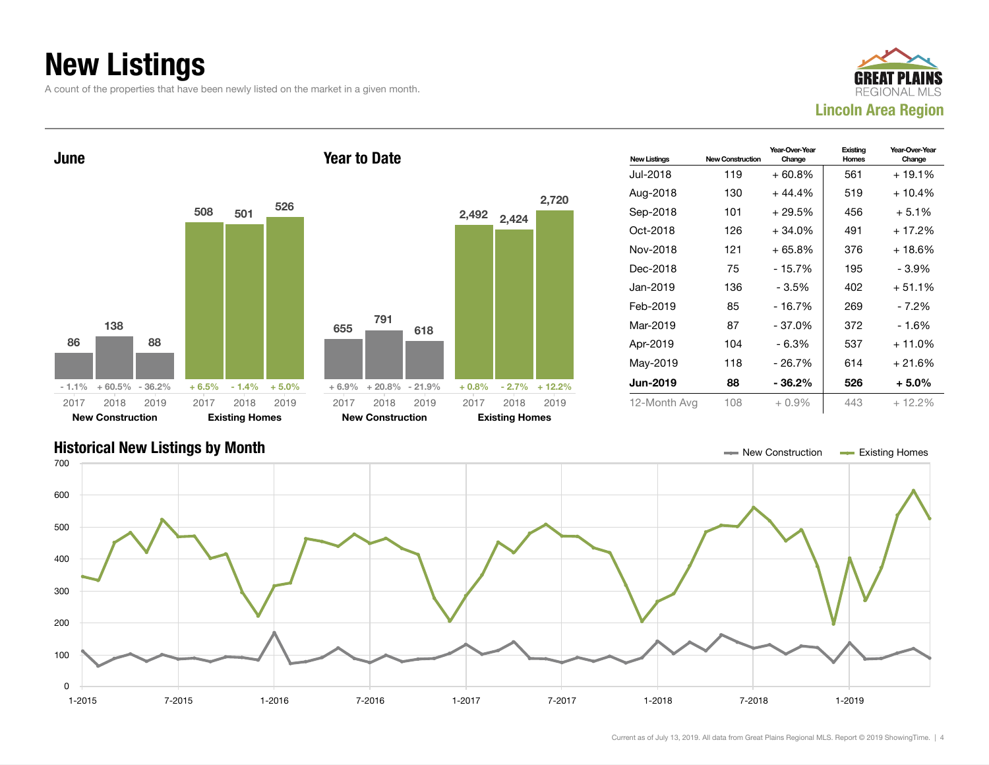## New Listings

A count of the properties that have been newly listed on the market in a given month.





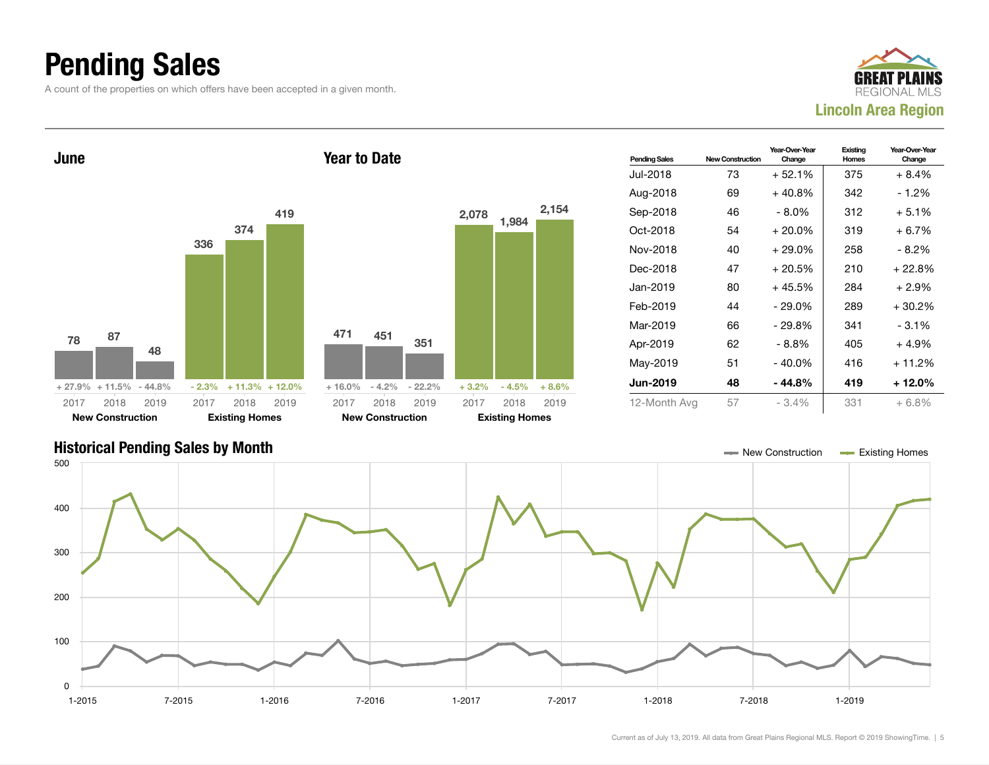### Pending Sales

A count of the properties on which offers have been accepted in a given month.





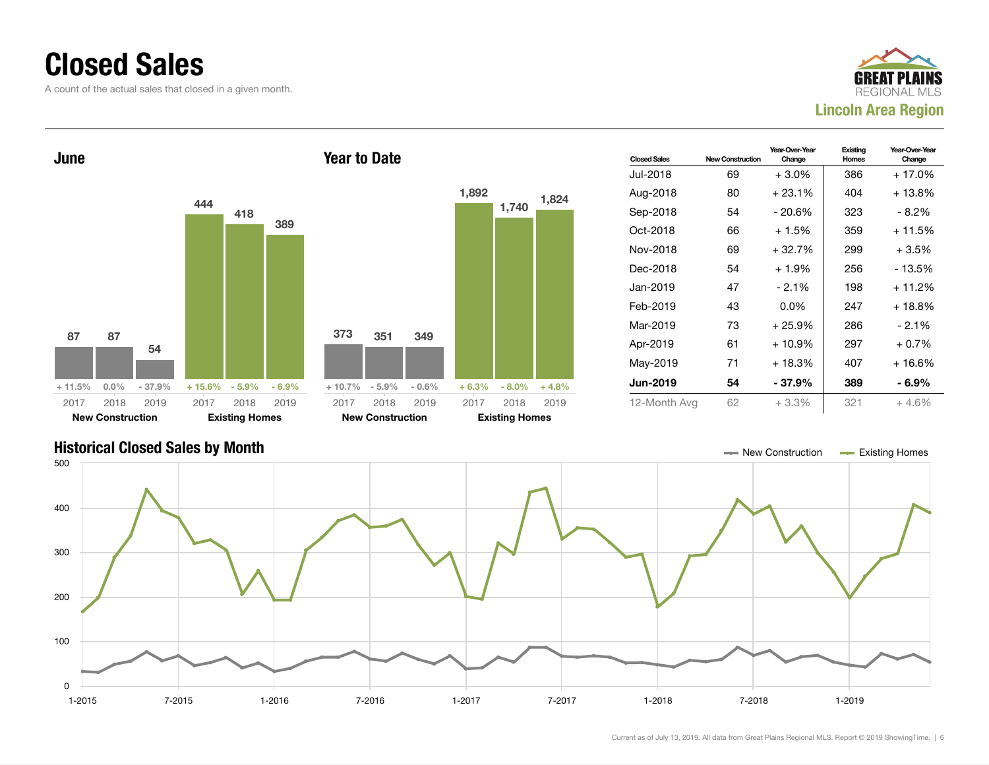#### Closed Sales

A count of the actual sales that closed in a given month.





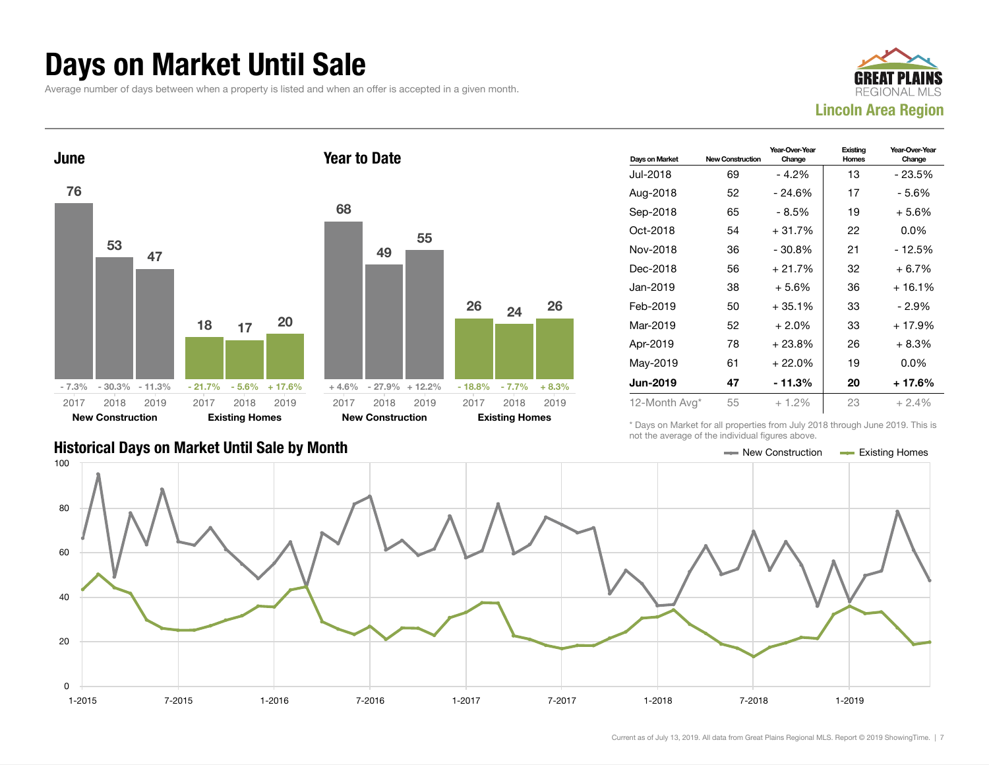#### Days on Market Until Sale

Average number of days between when a property is listed and when an offer is accepted in a given month.





| Days on Market  | <b>New Construction</b> | Year-Over-Year<br>Change | Existing<br>Homes | Year-Over-Year<br>Change |
|-----------------|-------------------------|--------------------------|-------------------|--------------------------|
| Jul-2018        | 69                      | - 4.2%                   | 13                | - 23.5%                  |
| Aug-2018        | 52                      | $-24.6%$                 | 17                | - 5.6%                   |
| Sep-2018        | 65                      | - 8.5%                   | 19                | $+5.6%$                  |
| Oct-2018        | 54                      | $+31.7%$                 | 22                | $0.0\%$                  |
| Nov-2018        | 36                      | $-30.8%$                 | 21                | - 12.5%                  |
| Dec-2018        | 56                      | $+21.7%$                 | 32                | $+6.7%$                  |
| Jan-2019        | 38                      | $+5.6%$                  | 36                | $+16.1%$                 |
| Feb-2019        | 50                      | $+35.1%$                 | 33                | - 2.9%                   |
| Mar-2019        | 52                      | $+2.0%$                  | 33                | $+17.9%$                 |
| Apr-2019        | 78                      | $+23.8%$                 | 26                | $+8.3%$                  |
| May-2019        | 61                      | $+22.0%$                 | 19                | $0.0\%$                  |
| <b>Jun-2019</b> | 47                      | - 11.3%                  | 20                | $+17.6%$                 |
| 12-Month Avg*   | 55                      | $+1.2%$                  | 23                | $+2.4%$                  |

Historical Days on Market Until Sale by Month New York New York New York New York New Construction Access Existing Homes

\* Days on Market for all properties from July 2018 through June 2019. This is not the average of the individual figures above.



| $-7.7\%$ | $+8.3%$ | Jun-2019 | 47 | - 11.3  |
|----------|---------|----------|----|---------|
|          |         | May-2019 | 61 | $+22.0$ |
|          |         | Apr-2019 | 78 | $+23.8$ |
|          |         | Mar-2019 | 52 | $+2.0$  |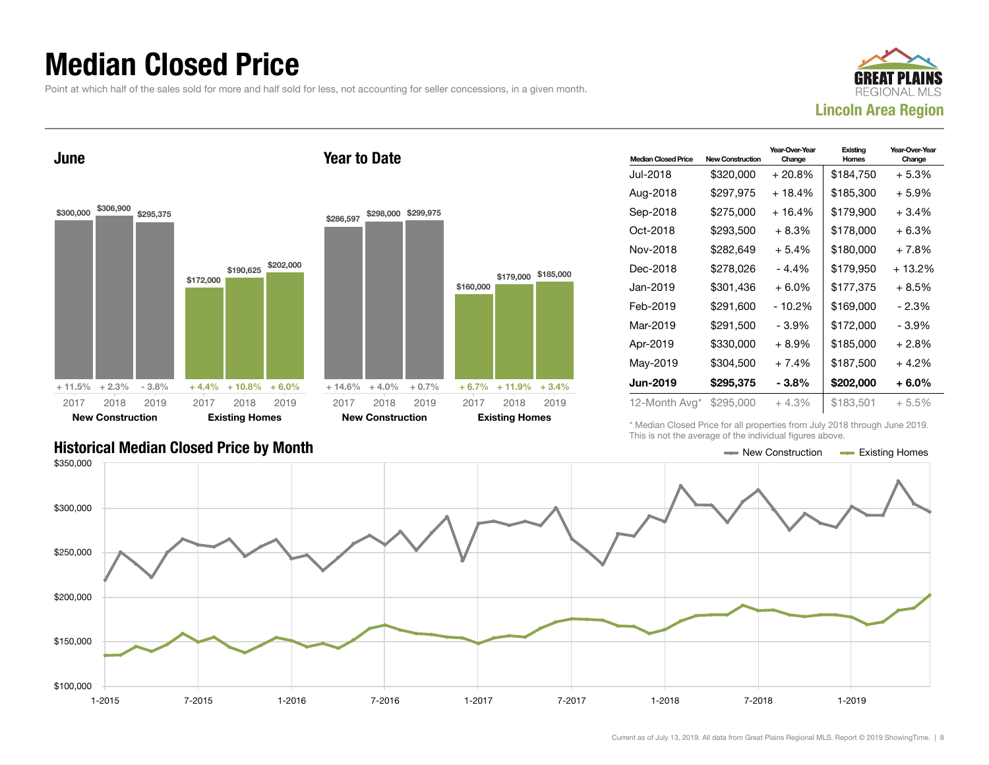### Median Closed Price

Point at which half of the sales sold for more and half sold for less, not accounting for seller concessions, in a given month.

Year to Date



June



| \$286,597 | \$298,000                 | \$299,975 |           |                       |           |
|-----------|---------------------------|-----------|-----------|-----------------------|-----------|
|           |                           |           | \$160,000 | \$179,000             | \$185,000 |
|           | $+14.6\% + 4.0\% + 0.7\%$ |           | $+6.7\%$  | $+11.9%$              | $+3.4%$   |
| 2017      | 2018                      | 2019      | 2017      | 2018                  | 2019      |
|           | <b>New Construction</b>   |           |           | <b>Existing Homes</b> |           |

| <b>Median Closed Price</b> | <b>New Construction</b> | Year-Over-Year<br>Change | Existing<br>Homes | Year-Over-Year<br>Change |
|----------------------------|-------------------------|--------------------------|-------------------|--------------------------|
| Jul-2018                   | \$320,000               | $+20.8\%$                | \$184,750         | $+5.3%$                  |
| Aug-2018                   | \$297,975               | + 18.4%                  | \$185,300         | $+5.9%$                  |
| Sep-2018                   | \$275,000               | $+16.4%$                 | \$179,900         | $+3.4%$                  |
| Oct-2018                   | \$293,500               | $+8.3%$                  | \$178,000         | $+6.3%$                  |
| Nov-2018                   | \$282,649               | $+5.4%$                  | \$180,000         | $+7.8%$                  |
| Dec-2018                   | \$278,026               | - 4.4%                   | \$179,950         | $+13.2%$                 |
| Jan-2019                   | \$301,436               | $+6.0\%$                 | \$177,375         | $+8.5%$                  |
| Feb-2019                   | \$291,600               | - 10.2%                  | \$169,000         | $-2.3%$                  |
| Mar-2019                   | \$291,500               | - 3.9%                   | \$172,000         | $-3.9%$                  |
| Apr-2019                   | \$330,000               | + 8.9%                   | \$185,000         | $+2.8%$                  |
| May-2019                   | \$304,500               | $+7.4%$                  | \$187,500         | $+4.2%$                  |
| Jun-2019                   | \$295,375               | - 3.8%                   | \$202,000         | $+6.0\%$                 |
| 12-Month Avg*              | \$295,000               | $+4.3%$                  | \$183,501         | + 5.5%                   |

\* Median Closed Price for all properties from July 2018 through June 2019. This is not the average of the individual figures above.

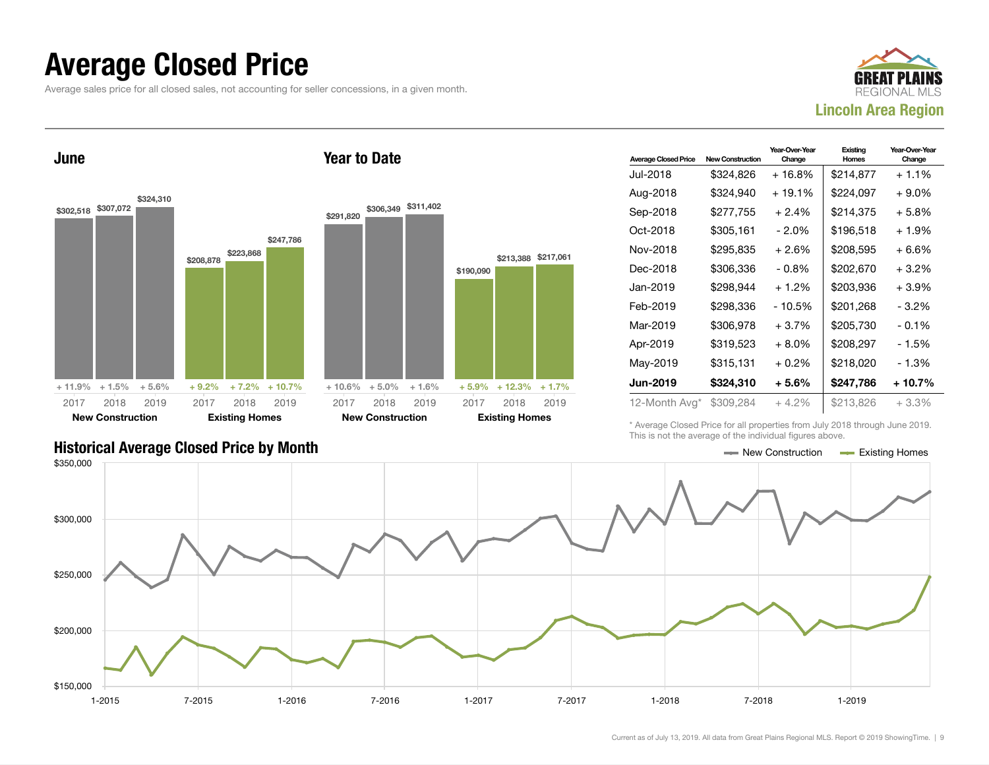#### Average Closed Price

Average sales price for all closed sales, not accounting for seller concessions, in a given month.



June



Year to Date

| <b>Average Closed Price</b> | <b>New Construction</b> | Year-Over-Year<br>Change | Existing<br>Homes | Year-Over-Year<br>Change |
|-----------------------------|-------------------------|--------------------------|-------------------|--------------------------|
| Jul-2018                    | \$324,826               | $+16.8%$                 | \$214,877         | $+1.1%$                  |
| Aug-2018                    | \$324,940               | $+19.1%$                 | \$224,097         | $+9.0\%$                 |
| Sep-2018                    | \$277.755               | $+2.4%$                  | \$214,375         | + 5.8%                   |
| Oct-2018                    | \$305,161               | $-2.0\%$                 | \$196,518         | $+1.9%$                  |
| Nov-2018                    | \$295,835               | $+2.6%$                  | \$208,595         | $+6.6%$                  |
| Dec-2018                    | \$306.336               | $-0.8\%$                 | \$202,670         | $+3.2%$                  |
| Jan-2019                    | \$298,944               | $+1.2%$                  | \$203,936         | $+3.9%$                  |
| Feb-2019                    | \$298,336               | - 10.5%                  | \$201,268         | $-3.2\%$                 |
| Mar-2019                    | \$306,978               | $+3.7%$                  | \$205,730         | $-0.1\%$                 |
| Apr-2019                    | \$319.523               | $+8.0\%$                 | \$208.297         | - 1.5%                   |
| May-2019                    | \$315,131               | $+0.2\%$                 | \$218,020         | - 1.3%                   |
| Jun-2019                    | \$324,310               | $+5.6\%$                 | \$247,786         | + 10.7%                  |
| 12-Month Avg*               | \$309,284               | $+4.2\%$                 | \$213,826         | $+3.3%$                  |

\* Average Closed Price for all properties from July 2018 through June 2019. This is not the average of the individual figures above.



#### Historical Average Closed Price by Month  $\blacksquare$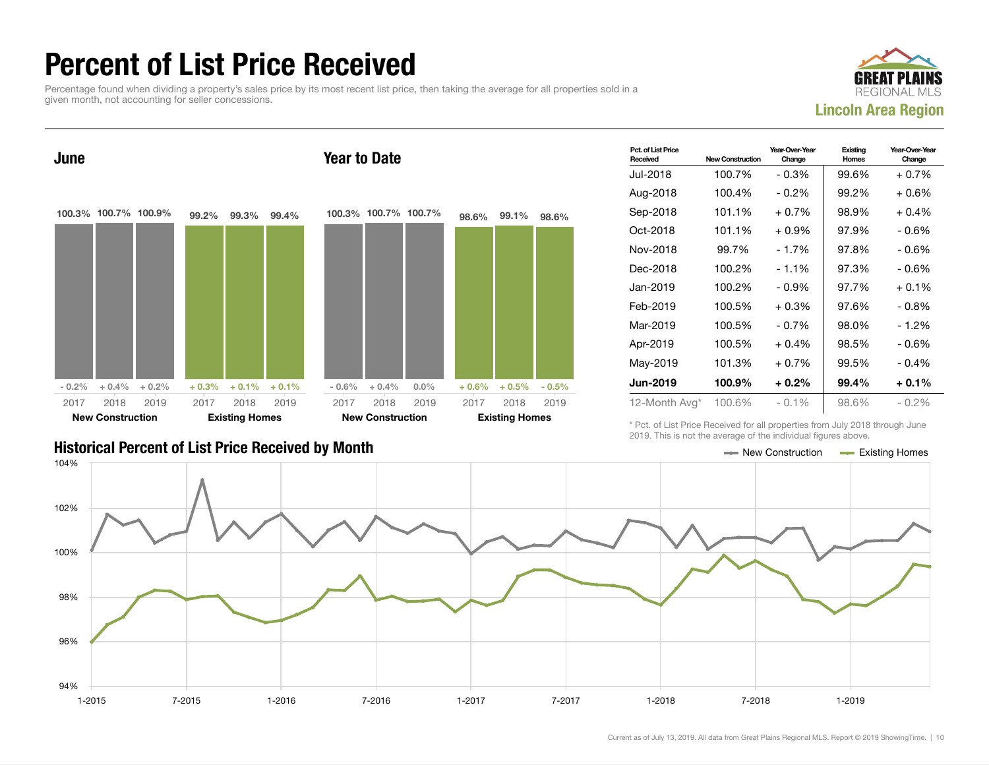### Percent of List Price Received

Percentage found when dividing a property's sales price by its most recent list price, then taking the average for all properties sold in a given month, not accounting for seller concessions.





| Pct. of List Price<br>Received | <b>New Construction</b> | Year-Over-Year<br>Change | Existing<br>Homes | Year-Over-Year<br>Change |
|--------------------------------|-------------------------|--------------------------|-------------------|--------------------------|
| Jul-2018                       | 100.7%                  | $-0.3%$                  | 99.6%             | $+0.7%$                  |
| Aug-2018                       | 100.4%                  | $-0.2\%$                 | 99.2%             | $+0.6%$                  |
| Sep-2018                       | 101.1%                  | $+0.7%$                  | 98.9%             | $+0.4%$                  |
| Oct-2018                       | 101.1%                  | $+0.9%$                  | 97.9%             | - 0.6%                   |
| Nov-2018                       | 99.7%                   | - 1.7%                   | 97.8%             | - 0.6%                   |
| Dec-2018                       | 100.2%                  | $-1.1%$                  | 97.3%             | - 0.6%                   |
| Jan-2019                       | 100.2%                  | $-0.9%$                  | 97.7%             | $+0.1%$                  |
| Feb-2019                       | 100.5%                  | $+0.3\%$                 | 97.6%             | $-0.8\%$                 |
| Mar-2019                       | 100.5%                  | $-0.7\%$                 | 98.0%             | $-1.2%$                  |
| Apr-2019                       | 100.5%                  | $+0.4%$                  | 98.5%             | $-0.6%$                  |
| May-2019                       | 101.3%                  | $+0.7\%$                 | 99.5%             | $-0.4%$                  |
| <b>Jun-2019</b>                | 100.9%                  | $+0.2\%$                 | 99.4%             | $+0.1%$                  |
| 12-Month Avg*                  | 100.6%                  | $-0.1%$                  | 98.6%             | $-0.2\%$                 |

Historical Percent of List Price Received by Month New Construction According Homes

\* Pct. of List Price Received for all properties from July 2018 through June 2019. This is not the average of the individual figures above.

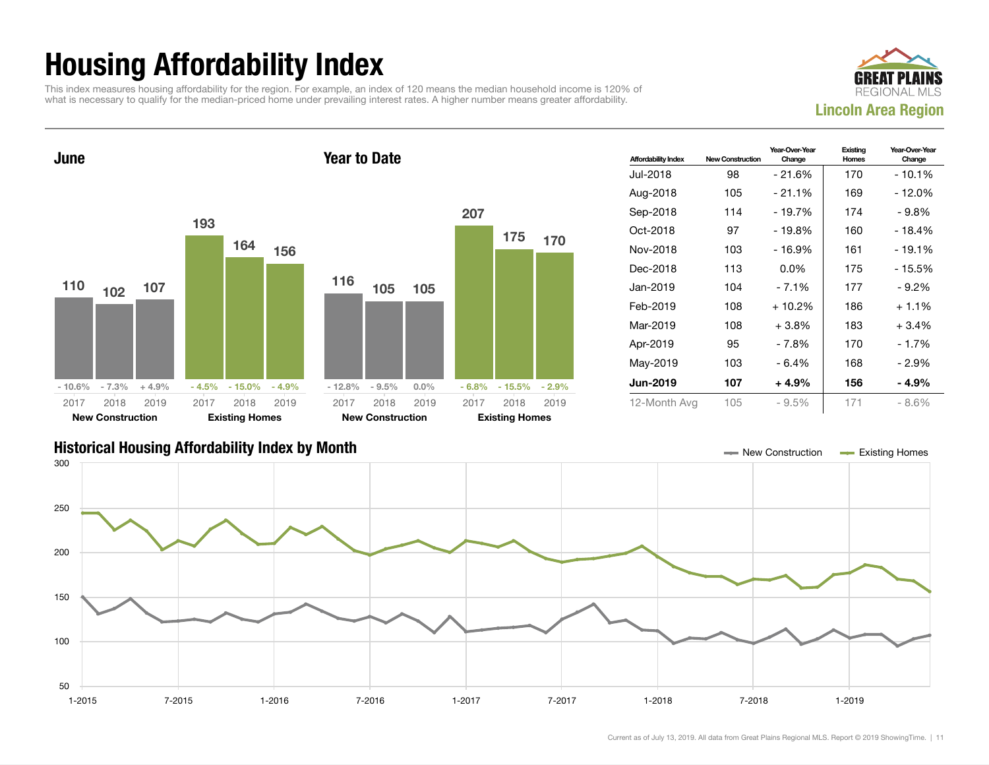## Housing Affordability Index

This index measures housing affordability for the region. For example, an index of 120 means the median household income is 120% of what is necessary to qualify for the median-priced home under prevailing interest rates. A higher number means greater affordability.





| <b>Affordability Index</b> | <b>New Construction</b> | Year-Over-Year<br>Change | Existing<br>Homes | Year-Over-Year<br>Change |
|----------------------------|-------------------------|--------------------------|-------------------|--------------------------|
| Jul-2018                   | 98                      | - 21.6%                  | 170               | - 10.1%                  |
| Aug-2018                   | 105                     | $-21.1%$                 | 169               | - 12.0%                  |
| Sep-2018                   | 114                     | $-19.7%$                 | 174               | - 9.8%                   |
| Oct-2018                   | 97                      | - 19.8%                  | 160               | - 18.4%                  |
| Nov-2018                   | 103                     | - 16.9%                  | 161               | - 19.1%                  |
| Dec-2018                   | 113                     | $0.0\%$                  | 175               | - 15.5%                  |
| Jan-2019                   | 104                     | $-7.1%$                  | 177               | $-9.2%$                  |
| Feb-2019                   | 108                     | $+10.2%$                 | 186               | $+1.1%$                  |
| Mar-2019                   | 108                     | $+3.8\%$                 | 183               | $+3.4%$                  |
| Apr-2019                   | 95                      | - 7.8%                   | 170               | $-1.7%$                  |
| May-2019                   | 103                     | - 6.4%                   | 168               | - 2.9%                   |
| <b>Jun-2019</b>            | 107                     | $+4.9%$                  | 156               | - 4.9%                   |
| 12-Month Avg               | 105                     | $-9.5%$                  | 171               | $-8.6%$                  |

#### Historical Housing Affordability Index by Month New Construction Existing Homes

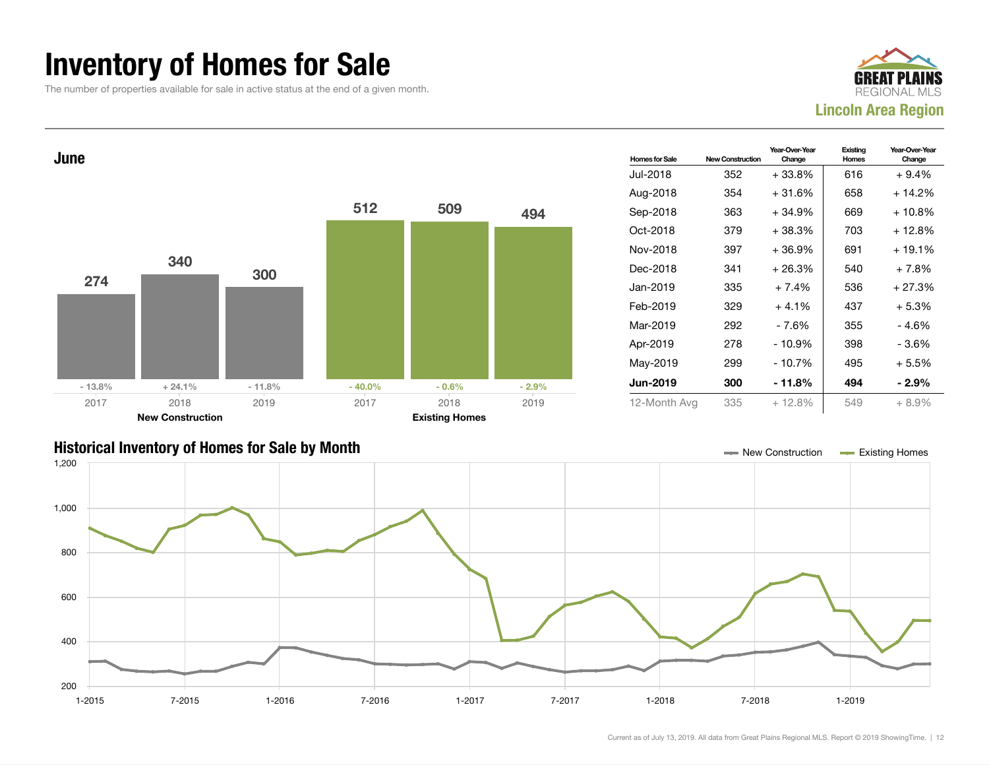#### Inventory of Homes for Sale

The number of properties available for sale in active status at the end of a given month.

![](_page_11_Picture_2.jpeg)

![](_page_11_Figure_3.jpeg)

![](_page_11_Figure_4.jpeg)

Current as of July 13, 2019. All data from Great Plains Regional MLS. Report © 2019 ShowingTime. | 12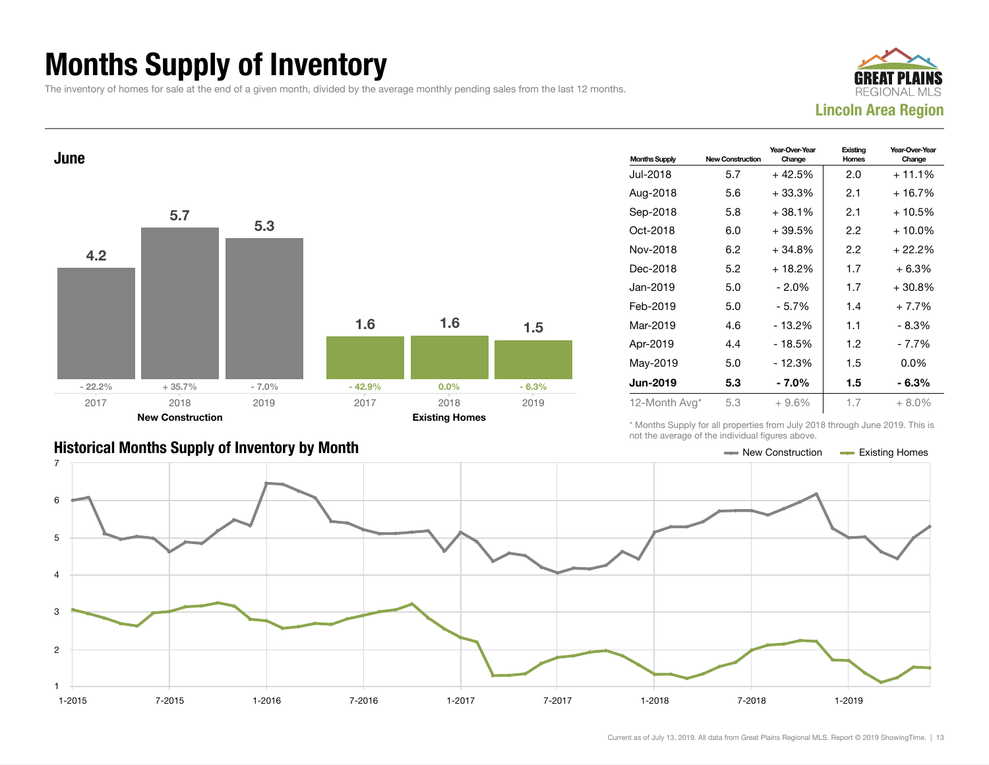## Months Supply of Inventory

The inventory of homes for sale at the end of a given month, divided by the average monthly pending sales from the last 12 months.

![](_page_12_Picture_2.jpeg)

![](_page_12_Figure_3.jpeg)

| <b>Months Supply</b> | <b>New Construction</b> | Year-Over-Year<br>Change | Existing<br>Homes | Year-Over-Year<br>Change |
|----------------------|-------------------------|--------------------------|-------------------|--------------------------|
| Jul-2018             | 5.7                     | $+42.5%$                 | 2.0               | $+11.1%$                 |
| Aug-2018             | 5.6                     | $+33.3%$                 | 2.1               | + 16.7%                  |
| Sep-2018             | 5.8                     | $+38.1%$                 | 2.1               | $+10.5%$                 |
| Oct-2018             | 6.0                     | +39.5%                   | 2.2               | $+10.0\%$                |
| Nov-2018             | 6.2                     | +34.8%                   | 2.2               | + 22.2%                  |
| Dec-2018             | 5.2                     | $+18.2%$                 | 1.7               | $+6.3%$                  |
| Jan-2019             | 5.0                     | - 2.0%                   | 1.7               | +30.8%                   |
| Feb-2019             | 5.0                     | $-5.7%$                  | 1.4               | $+7.7%$                  |
| Mar-2019             | 4.6                     | $-13.2%$                 | 1.1               | - 8.3%                   |
| Apr-2019             | 4.4                     | $-18.5%$                 | 1.2               | - 7.7%                   |
| May-2019             | 5.0                     | $-12.3%$                 | 1.5               | $0.0\%$                  |
| <b>Jun-2019</b>      | 5.3                     | - 7.0%                   | 1.5               | - 6.3%                   |
| 12-Month Avg*        | 5.3                     | $+9.6%$                  | 1.7               | $+8.0\%$                 |

#### Historical Months Supply of Inventory by Month New York New York New York New Construction Access Existing Homes

\* Months Supply for all properties from July 2018 through June 2019. This is not the average of the individual figures above.

![](_page_12_Figure_7.jpeg)